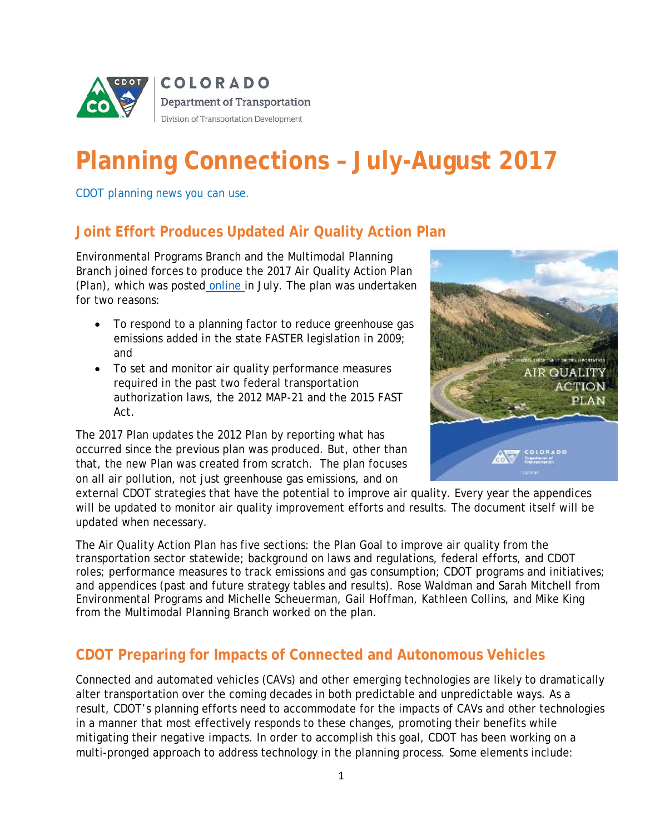

# **Planning Connections – July-August 2017**

*CDOT planning news you can use.*

# **Joint Effort Produces Updated Air Quality Action Plan**

Environmental Programs Branch and the Multimodal Planning Branch joined forces to produce the 2017 Air Quality Action Plan (Plan), which was posted [online i](https://www.codot.gov/programs/environmental/air-quality/action-plan)n July. The plan was undertaken for two reasons:

- To respond to a planning factor to reduce greenhouse gas emissions added in the state FASTER legislation in 2009; and
- To set and monitor air quality performance measures required in the past two federal transportation authorization laws, the 2012 MAP-21 and the 2015 FAST Act.

The 2017 Plan updates the 2012 Plan by reporting what has occurred since the previous plan was produced. But, other than that, the new Plan was created from scratch. The plan focuses on all air pollution, not just greenhouse gas emissions, and on



external CDOT strategies that have the potential to improve air quality. Every year the appendices will be updated to monitor air quality improvement efforts and results. The document itself will be updated when necessary.

The Air Quality Action Plan has five sections: the Plan Goal to improve air quality from the transportation sector statewide; background on laws and regulations, federal efforts, and CDOT roles; performance measures to track emissions and gas consumption; CDOT programs and initiatives; and appendices (past and future strategy tables and results). Rose Waldman and Sarah Mitchell from Environmental Programs and Michelle Scheuerman, Gail Hoffman, Kathleen Collins, and Mike King from the Multimodal Planning Branch worked on the plan.

# **CDOT Preparing for Impacts of Connected and Autonomous Vehicles**

Connected and automated vehicles (CAVs) and other emerging technologies are likely to dramatically alter transportation over the coming decades in both predictable and unpredictable ways. As a result, CDOT's planning efforts need to accommodate for the impacts of CAVs and other technologies in a manner that most effectively responds to these changes, promoting their benefits while mitigating their negative impacts. In order to accomplish this goal, CDOT has been working on a multi-pronged approach to address technology in the planning process. Some elements include: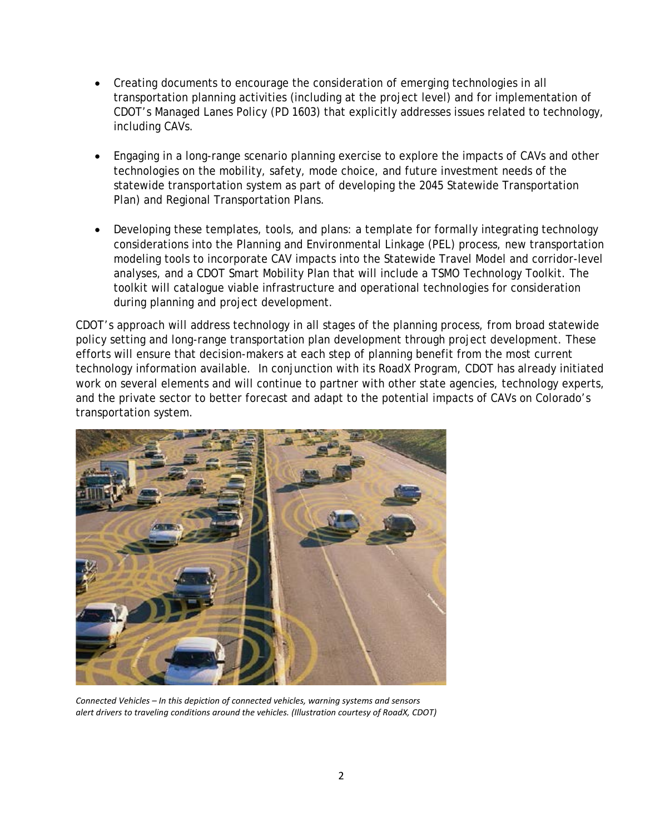- Creating documents to encourage the consideration of emerging technologies in all transportation planning activities (including at the project level) and for implementation of CDOT's Managed Lanes Policy (PD 1603) that explicitly addresses issues related to technology, including CAVs.
- Engaging in a long-range scenario planning exercise to explore the impacts of CAVs and other technologies on the mobility, safety, mode choice, and future investment needs of the statewide transportation system as part of developing the 2045 Statewide Transportation Plan) and Regional Transportation Plans.
- Developing these templates, tools, and plans: a template for formally integrating technology considerations into the Planning and Environmental Linkage (PEL) process, new transportation modeling tools to incorporate CAV impacts into the Statewide Travel Model and corridor-level analyses, and a CDOT Smart Mobility Plan that will include a TSMO Technology Toolkit. The toolkit will catalogue viable infrastructure and operational technologies for consideration during planning and project development.

CDOT's approach will address technology in all stages of the planning process, from broad statewide policy setting and long-range transportation plan development through project development. These efforts will ensure that decision-makers at each step of planning benefit from the most current technology information available. In conjunction with its RoadX Program, CDOT has already initiated work on several elements and will continue to partner with other state agencies, technology experts, and the private sector to better forecast and adapt to the potential impacts of CAVs on Colorado's transportation system.



*Connected Vehicles – In this depiction of connected vehicles, warning systems and sensors alert drivers to traveling conditions around the vehicles. (Illustration courtesy of RoadX, CDOT)*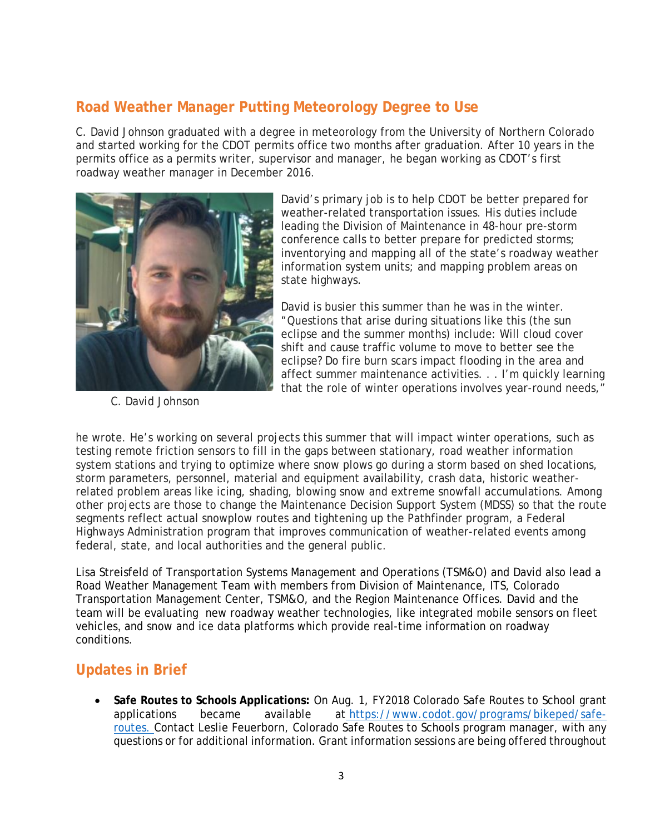### **Road Weather Manager Putting Meteorology Degree to Use**

C. David Johnson graduated with a degree in meteorology from the University of Northern Colorado and started working for the CDOT permits office two months after graduation. After 10 years in the permits office as a permits writer, supervisor and manager, he began working as CDOT's first roadway weather manager in December 2016.

![](_page_2_Picture_2.jpeg)

 *C. David Johnson*

David's primary job is to help CDOT be better prepared for weather-related transportation issues. His duties include leading the Division of Maintenance in 48-hour pre-storm conference calls to better prepare for predicted storms; inventorying and mapping all of the state's roadway weather information system units; and mapping problem areas on state highways.

David is busier this summer than he was in the winter. "Questions that arise during situations like this (the sun eclipse and the summer months) include: Will cloud cover shift and cause traffic volume to move to better see the eclipse? Do fire burn scars impact flooding in the area and affect summer maintenance activities. . . I'm quickly learning that the role of winter operations involves year-round needs,"

he wrote. He's working on several projects this summer that will impact winter operations, such as testing remote friction sensors to fill in the gaps between stationary, road weather information system stations and trying to optimize where snow plows go during a storm based on shed locations, storm parameters, personnel, material and equipment availability, crash data, historic weatherrelated problem areas like icing, shading, blowing snow and extreme snowfall accumulations. Among other projects are those to change the Maintenance Decision Support System (MDSS) so that the route segments reflect actual snowplow routes and tightening up the Pathfinder program, a Federal Highways Administration program that improves communication of weather-related events among federal, state, and local authorities and the general public.

Lisa Streisfeld of Transportation Systems Management and Operations (TSM&O) and David also lead a Road Weather Management Team with members from Division of Maintenance, ITS, Colorado Transportation Management Center, TSM&O, and the Region Maintenance Offices. David and the team will be evaluating new roadway weather technologies, like integrated mobile sensors on fleet vehicles, and snow and ice data platforms which provide real-time information on roadway conditions.

# **Updates in Brief**

• **Safe Routes to Schools Applications:** On Aug. 1, FY2018 Colorado Safe Routes to School grant applications became available at https://www.codot.gov/programs/bikeped/saferoutes. Contact Leslie Feuerborn, Colorado Safe Routes to Schools program manager, with any questions or for additional information. Grant information sessions are being offered throughout